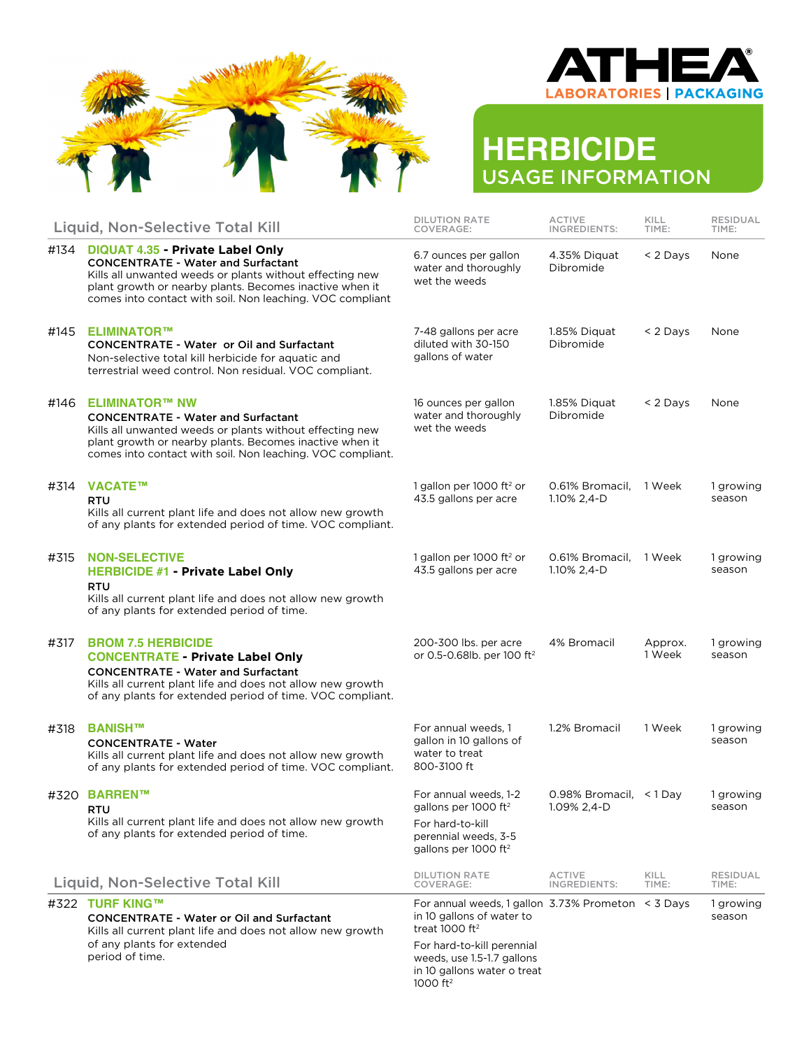



# **HERBICIDE** USAGE INFORMATION

|                                  | Liquid, Non-Selective Total Kill                                                                                                                                                                                                                                         | <b>DILUTION RATE</b><br>COVERAGE:                                                                                                         | <b>ACTIVE</b><br>INGREDIENTS:        | KILL<br>TIME:     | <b>RESIDUAL</b><br>TIME: |
|----------------------------------|--------------------------------------------------------------------------------------------------------------------------------------------------------------------------------------------------------------------------------------------------------------------------|-------------------------------------------------------------------------------------------------------------------------------------------|--------------------------------------|-------------------|--------------------------|
| #134                             | <b>DIQUAT 4.35 - Private Label Only</b><br><b>CONCENTRATE - Water and Surfactant</b><br>Kills all unwanted weeds or plants without effecting new<br>plant growth or nearby plants. Becomes inactive when it<br>comes into contact with soil. Non leaching. VOC compliant | 6.7 ounces per gallon<br>water and thoroughly<br>wet the weeds                                                                            | 4.35% Diguat<br>Dibromide            | < 2 Days          | None                     |
| #145                             | ELIMINATOR™<br><b>CONCENTRATE - Water or Oil and Surfactant</b><br>Non-selective total kill herbicide for aquatic and<br>terrestrial weed control. Non residual. VOC compliant.                                                                                          | 7-48 gallons per acre<br>diluted with 30-150<br>gallons of water                                                                          | 1.85% Diquat<br>Dibromide            | < 2 Days          | None                     |
| #146                             | <b>ELIMINATOR™ NW</b><br><b>CONCENTRATE - Water and Surfactant</b><br>Kills all unwanted weeds or plants without effecting new<br>plant growth or nearby plants. Becomes inactive when it<br>comes into contact with soil. Non leaching. VOC compliant.                  | 16 ounces per gallon<br>water and thoroughly<br>wet the weeds                                                                             | 1.85% Diquat<br>Dibromide            | < 2 Days          | None                     |
| #314                             | VACATE™<br><b>RTU</b><br>Kills all current plant life and does not allow new growth<br>of any plants for extended period of time. VOC compliant.                                                                                                                         | 1 gallon per 1000 ft <sup>2</sup> or<br>43.5 gallons per acre                                                                             | 0.61% Bromacil.<br>1.10% 2,4-D       | 1 Week            | 1 growing<br>season      |
| #315                             | <b>NON-SELECTIVE</b><br><b>HERBICIDE #1 - Private Label Only</b><br>RTU<br>Kills all current plant life and does not allow new growth<br>of any plants for extended period of time.                                                                                      | 1 gallon per 1000 ft <sup>2</sup> or<br>43.5 gallons per acre                                                                             | 0.61% Bromacil,<br>1.10% 2.4-D       | 1 Week            | 1 growing<br>season      |
| #317                             | <b>BROM 7.5 HERBICIDE</b><br><b>CONCENTRATE - Private Label Only</b><br><b>CONCENTRATE - Water and Surfactant</b><br>Kills all current plant life and does not allow new growth<br>of any plants for extended period of time. VOC compliant.                             | 200-300 lbs. per acre<br>or 0.5-0.68lb. per 100 ft <sup>2</sup>                                                                           | 4% Bromacil                          | Approx.<br>1 Week | 1 growing<br>season      |
| #318                             | <b>BANISH™</b><br><b>CONCENTRATE - Water</b><br>Kills all current plant life and does not allow new growth<br>of any plants for extended period of time. VOC compliant.                                                                                                  | For annual weeds, 1<br>gallon in 10 gallons of<br>water to treat<br>800-3100 ft                                                           | 1.2% Bromacil                        | 1 Week            | 1 growing<br>season      |
|                                  | #320 BARREN™<br>RTU<br>Kills all current plant life and does not allow new growth<br>of any plants for extended period of time.                                                                                                                                          | For annual weeds, 1-2<br>gallons per 1000 ft <sup>2</sup><br>For hard-to-kill<br>perennial weeds, 3-5<br>gallons per 1000 ft <sup>2</sup> | 0.98% Bromacil, <1Day<br>1.09% 2,4-D |                   | 1 growing<br>season      |
| Liquid, Non-Selective Total Kill |                                                                                                                                                                                                                                                                          | <b>DILUTION RATE</b><br>COVERAGE:                                                                                                         | <b>ACTIVE</b><br>INGREDIENTS:        | KILL<br>TIME:     | <b>RESIDUAL</b><br>TIME: |
|                                  | #322 TURF KING™<br><b>CONCENTRATE - Water or Oil and Surfactant</b><br>Kills all current plant life and does not allow new growth<br>of any plants for extended<br>period of time.                                                                                       | For annual weeds, 1 gallon $3.73\%$ Prometon $\leq$ 3 Days<br>in 10 gallons of water to<br>treat 1000 ft <sup>2</sup>                     |                                      |                   | 1 growing<br>season      |
|                                  |                                                                                                                                                                                                                                                                          | For hard-to-kill perennial<br>weeds, use 1.5-1.7 gallons<br>in 10 gallons water o treat<br>1000 ft <sup>2</sup>                           |                                      |                   |                          |